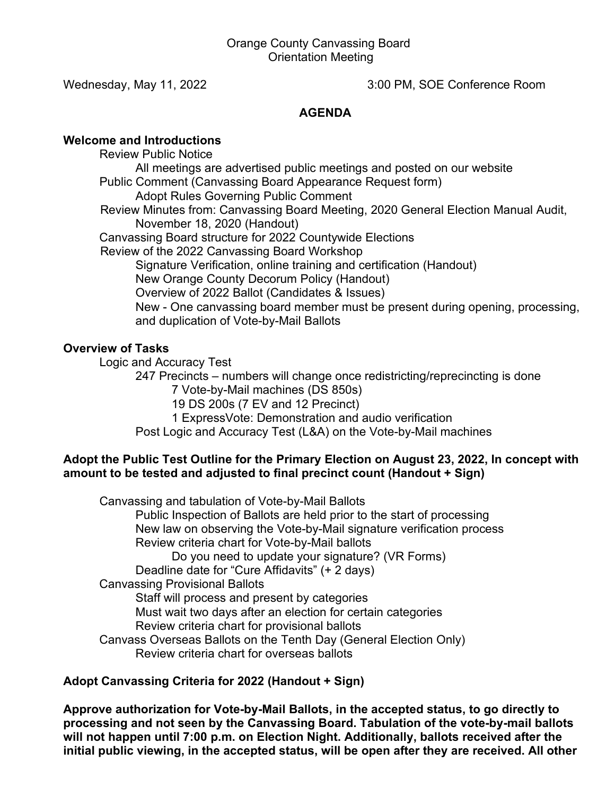Wednesday, May 11, 2022 3:00 PM, SOE Conference Room

# **AGENDA**

## **Welcome and Introductions**

Review Public Notice All meetings are advertised public meetings and posted on our website Public Comment (Canvassing Board Appearance Request form) Adopt Rules Governing Public Comment Review Minutes from: Canvassing Board Meeting, 2020 General Election Manual Audit, November 18, 2020 (Handout) Canvassing Board structure for 2022 Countywide Elections Review of the 2022 Canvassing Board Workshop Signature Verification, online training and certification (Handout) New Orange County Decorum Policy (Handout) Overview of 2022 Ballot (Candidates & Issues) New - One canvassing board member must be present during opening, processing, and duplication of Vote-by-Mail Ballots

# **Overview of Tasks**

Logic and Accuracy Test

247 Precincts – numbers will change once redistricting/reprecincting is done 7 Vote-by-Mail machines (DS 850s) 19 DS 200s (7 EV and 12 Precinct) 1 ExpressVote: Demonstration and audio verification

Post Logic and Accuracy Test (L&A) on the Vote-by-Mail machines

## **Adopt the Public Test Outline for the Primary Election on August 23, 2022, In concept with amount to be tested and adjusted to final precinct count (Handout + Sign)**

Canvassing and tabulation of Vote-by-Mail Ballots Public Inspection of Ballots are held prior to the start of processing New law on observing the Vote-by-Mail signature verification process Review criteria chart for Vote-by-Mail ballots Do you need to update your signature? (VR Forms) Deadline date for "Cure Affidavits" (+ 2 days) Canvassing Provisional Ballots Staff will process and present by categories Must wait two days after an election for certain categories Review criteria chart for provisional ballots Canvass Overseas Ballots on the Tenth Day (General Election Only) Review criteria chart for overseas ballots

# **Adopt Canvassing Criteria for 2022 (Handout + Sign)**

**Approve authorization for Vote-by-Mail Ballots, in the accepted status, to go directly to processing and not seen by the Canvassing Board. Tabulation of the vote-by-mail ballots will not happen until 7:00 p.m. on Election Night. Additionally, ballots received after the initial public viewing, in the accepted status, will be open after they are received. All other**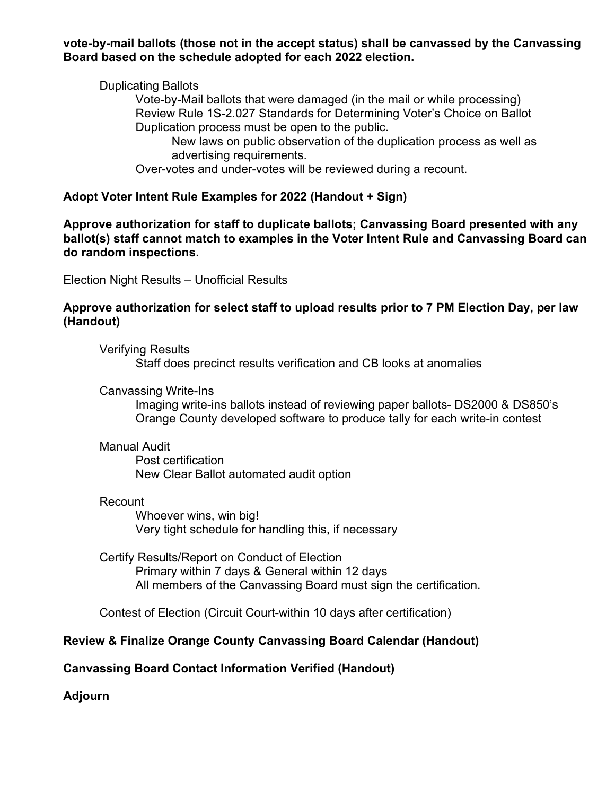**vote-by-mail ballots (those not in the accept status) shall be canvassed by the Canvassing Board based on the schedule adopted for each 2022 election.**

### Duplicating Ballots

Vote-by-Mail ballots that were damaged (in the mail or while processing) Review Rule 1S-2.027 Standards for Determining Voter's Choice on Ballot Duplication process must be open to the public.

New laws on public observation of the duplication process as well as advertising requirements.

Over-votes and under-votes will be reviewed during a recount.

### **Adopt Voter Intent Rule Examples for 2022 (Handout + Sign)**

**Approve authorization for staff to duplicate ballots; Canvassing Board presented with any ballot(s) staff cannot match to examples in the Voter Intent Rule and Canvassing Board can do random inspections.** 

Election Night Results – Unofficial Results

### **Approve authorization for select staff to upload results prior to 7 PM Election Day, per law (Handout)**

Verifying Results Staff does precinct results verification and CB looks at anomalies

Canvassing Write-Ins

Imaging write-ins ballots instead of reviewing paper ballots- DS2000 & DS850's Orange County developed software to produce tally for each write-in contest

#### Manual Audit

Post certification New Clear Ballot automated audit option

#### Recount

Whoever wins, win big! Very tight schedule for handling this, if necessary

Certify Results/Report on Conduct of Election Primary within 7 days & General within 12 days All members of the Canvassing Board must sign the certification.

Contest of Election (Circuit Court-within 10 days after certification)

# **Review & Finalize Orange County Canvassing Board Calendar (Handout)**

# **Canvassing Board Contact Information Verified (Handout)**

**Adjourn**